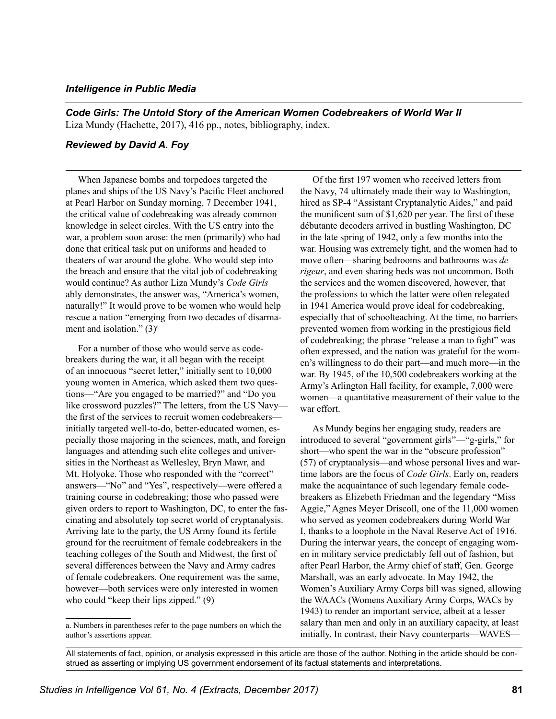## *Intelligence in Public Media*

*Code Girls: The Untold Story of the American Women Codebreakers of World War II* Liza Mundy (Hachette, 2017), 416 pp., notes, bibliography, index.

## *Reviewed by David A. Foy*

When Japanese bombs and torpedoes targeted the planes and ships of the US Navy's Pacific Fleet anchored at Pearl Harbor on Sunday morning, 7 December 1941, the critical value of codebreaking was already common knowledge in select circles. With the US entry into the war, a problem soon arose: the men (primarily) who had done that critical task put on uniforms and headed to theaters of war around the globe. Who would step into the breach and ensure that the vital job of codebreaking would continue? As author Liza Mundy's *Code Girls* ably demonstrates, the answer was, "America's women, naturally!" It would prove to be women who would help rescue a nation "emerging from two decades of disarmament and isolation."  $(3)^a$ 

For a number of those who would serve as codebreakers during the war, it all began with the receipt of an innocuous "secret letter," initially sent to 10,000 young women in America, which asked them two questions—"Are you engaged to be married?" and "Do you like crossword puzzles?" The letters, from the US Navy the first of the services to recruit women codebreakers initially targeted well-to-do, better-educated women, especially those majoring in the sciences, math, and foreig n languages and attending such elite colleges and universities in the Northeast as Wellesley, Bryn Mawr, and Mt. Holyoke. Those who responded with the "correct" answers—"No" and "Yes", respectively—were offered a training course in codebreaking; those who passed were given orders to report to Washington, DC, to enter the fa scinating and absolutely top secret world of cryptanalysis. Arriving late to the party, the US Army found its fertile ground for the recruitment of female codebreakers in the teaching colleges of the South and Midwest, the first of several differences between the Navy and Army cadres of female codebreakers. One requirement was the same, however—both services were only interested in women who could "keep their lips zipped." (9)

Of the first 197 women who received letters from the Navy, 74 ultimately made their way to Washington, hired as SP-4 "Assistant Cryptanalytic Aides," and paid the munificent sum of \$1,620 per year. The first of these débutante decoders arrived in bustling Washington, DC in the late spring of 1942, only a few months into the war. Housing was extremely tight, and the women had to move often—sharing bedrooms and bathrooms was *de rigeur*, and even sharing beds was not uncommon. Both the services and the women discovered, however, that the professions to which the latter were often relegated in 1941 America would prove ideal for codebreaking, especially that of schoolteaching. At the time, no barriers prevented women from working in the prestigious field of codebreaking; the phrase "release a man to fight" was often expressed, and the nation was grateful for the women's willingness to do their part—and much more—in the war. By 1945, of the 10,500 codebreakers working at the Army's Arlington Hall facility, for example, 7,000 were women—a quantitative measurement of their value to the war effort.

As Mundy begins her engaging study, readers are introduced to several "government girls"—"g-girls," for short—who spent the war in the "obscure profession" (57) of cryptanalysis—and whose personal lives and wartime labors are the focus of *Code Girls*. Early on, readers make the acquaintance of such legendary female codebreakers as Elizebeth Friedman and the legendary "Miss Aggie," Agnes Meyer Driscoll, one of the 11,000 women who served as yeomen codebreakers during World War I, thanks to a loophole in the Naval Reserve Act of 1916. During the interwar years, the concept of engaging women in military service predictably fell out of fashion, but after Pearl Harbor, the Army chief of staff, Gen. George Marshall, was an early advocate. In May 1942, the Women's Auxiliary Army Corps bill was signed, allowing the WAACs (Womens Auxiliary Army Corps, WACs by 1943) to render an important service, albeit at a lesser salary than men and only in an auxiliary capacity, at least initially. In contrast, their Navy counterparts—WAVES—

a. Numbers in parentheses refer to the page numbers on which the author's assertions appear.

All statements of fact, opinion, or analysis expressed in this article are those of the author. Nothing in the article should be construed as asserting or implying US government endorsement of its factual statements and interpretations.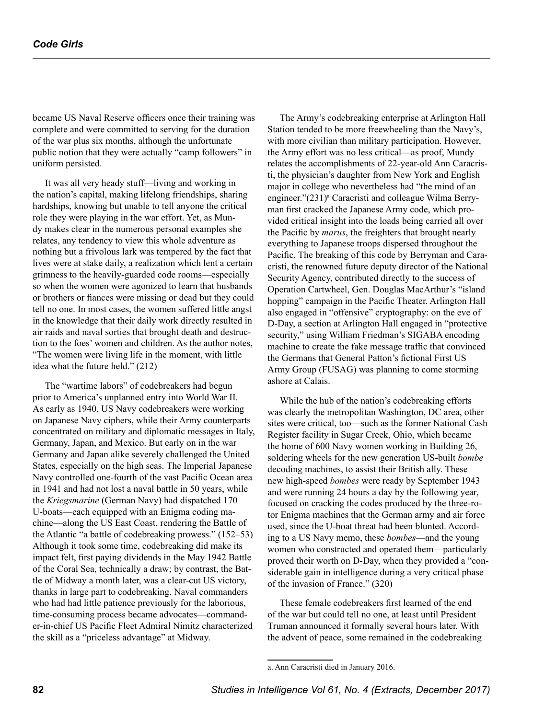became US Naval Reserve officers once their training was complete and were committed to serving for the duration of the war plus six months, although the unfortunate public notion that they were actually "camp followers" in uniform persisted.

It was all very heady stuff—living and working in the nation's capital, making lifelong friendships, sharing hardships, knowing but unable to tell anyone the critical role they were playing in the war effort. Yet, as Mundy makes clear in the numerous personal examples she relates, any tendency to view this whole adventure as nothing but a frivolous lark was tempered by the fact that lives were at stake daily, a realization which lent a certain grimness to the heavily-guarded code rooms—especially so when the women were agonized to learn that husbands or brothers or fiances were missing or dead but they could tell no one. In most cases, the women suffered little angst in the knowledge that their daily work directly resulted in air raids and naval sorties that brought death and destruction to the foes' women and children. As the author notes, "The women were living life in the moment, with little idea what the future held." (212)

The "wartime labors" of codebreakers had begun prior to America's unplanned entry into World War II. As early as 1940, US Navy codebreakers were working on Japanese Navy ciphers, while their Army counterparts concentrated on military and diplomatic messages in Italy, Germany, Japan, and Mexico. But early on in the war Germany and Japan alike severely challenged the United States, especially on the high seas. The Imperial Japanese Navy controlled one-fourth of the vast Pacific Ocean area in 1941 and had not lost a naval battle in 50 years, while the *Kriegsmarine* (German Navy) had dispatched 170 U-boats—each equipped with an Enigma coding machine—along the US East Coast, rendering the Battle of the Atlantic "a battle of codebreaking prowess." (152–53) Although it took some time, codebreaking did make its impact felt, first paying dividends in the May 1942 Battle of the Coral Sea, technically a draw; by contrast, the Battle of Midway a month later, was a clear-cut US victory, thanks in large part to codebreaking. Naval commanders who had had little patience previously for the laborious, time-consuming process became advocates—commander-in-chief US Pacific Fleet Admiral Nimitz characterized the skill as a "priceless advantage" at Midway.

The Army's codebreaking enterprise at Arlington Hall Station tended to be more freewheeling than the Navy's, with more civilian than military participation. However, the Army effort was no less critical—as proof, Mundy relates the accomplishments of 22-year-old Ann Caracristi, the physician's daughter from New York and English major in college who nevertheless had "the mind of an engineer."(231)<sup>a</sup> Caracristi and colleague Wilma Berryman first cracked the Japanese Army code, which provided critical insight into the loads being carried all over the Pacific by *marus*, the freighters that brought nearly everything to Japanese troops dispersed throughout the Pacific. The breaking of this code by Berryman and Caracristi, the renowned future deputy director of the National Security Agency, contributed directly to the success of Operation Cartwheel, Gen. Douglas MacArthur's "island hopping" campaign in the Pacific Theater. Arlington Hall also engaged in "offensive" cryptography: on the eve of D-Day, a section at Arlington Hall engaged in "protective security," using William Friedman's SIGABA encoding machine to create the fake message traffic that convinced the Germans that General Patton's fictional First US Army Group (FUSAG) was planning to come storming ashore at Calais.

While the hub of the nation's codebreaking efforts was clearly the metropolitan Washington, DC area, other sites were critical, too—such as the former National Cash Register facility in Sugar Creek, Ohio, which became the home of 600 Navy women working in Building 26, soldering wheels for the new generation US-built *bombe* decoding machines, to assist their British ally. These new high-speed *bombes* were ready by September 1943 and were running 24 hours a day by the following year, focused on cracking the codes produced by the three-rotor Enigma machines that the German army and air force used, since the U-boat threat had been blunted. According to a US Navy memo, these *bombes*—and the young women who constructed and operated them—particularly proved their worth on D-Day, when they provided a "considerable gain in intelligence during a very critical phase of the invasion of France." (320)

These female codebreakers first learned of the end of the war but could tell no one, at least until President Truman announced it formally several hours later. With the advent of peace, some remained in the codebreaking

a. Ann Caracristi died in January 2016.